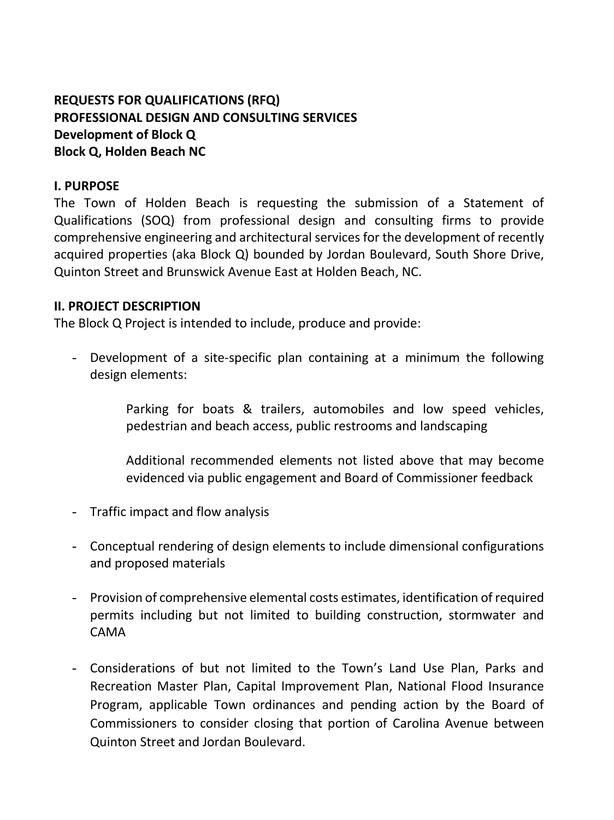# **REQUESTS FOR QUALIFICATIONS (RFQ) PROFESSIONAL DESIGN AND CONSULTING SERVICES Development of Block Q Block Q, Holden Beach NC**

#### **I. PURPOSE**

The Town of Holden Beach is requesting the submission of a Statement of Qualifications (SOQ) from professional design and consulting firms to provide comprehensive engineering and architectural services for the development of recently acquired properties (aka Block Q) bounded by Jordan Boulevard, South Shore Drive, Quinton Street and Brunswick Avenue East at Holden Beach, NC.

#### **II. PROJECT DESCRIPTION**

The Block Q Project is intended to include, produce and provide:

- Development of a site-specific plan containing at a minimum the following design elements:

> Parking for boats & trailers, automobiles and low speed vehicles, pedestrian and beach access, public restrooms and landscaping

> Additional recommended elements not listed above that may become evidenced via public engagement and Board of Commissioner feedback

- Traffic impact and flow analysis
- Conceptual rendering of design elements to include dimensional configurations and proposed materials
- Provision of comprehensive elemental costs estimates, identification of required permits including but not limited to building construction, stormwater and CAMA
- Considerations of but not limited to the Town's Land Use Plan, Parks and Recreation Master Plan, Capital Improvement Plan, National Flood Insurance Program, applicable Town ordinances and pending action by the Board of Commissioners to consider closing that portion of Carolina Avenue between Quinton Street and Jordan Boulevard.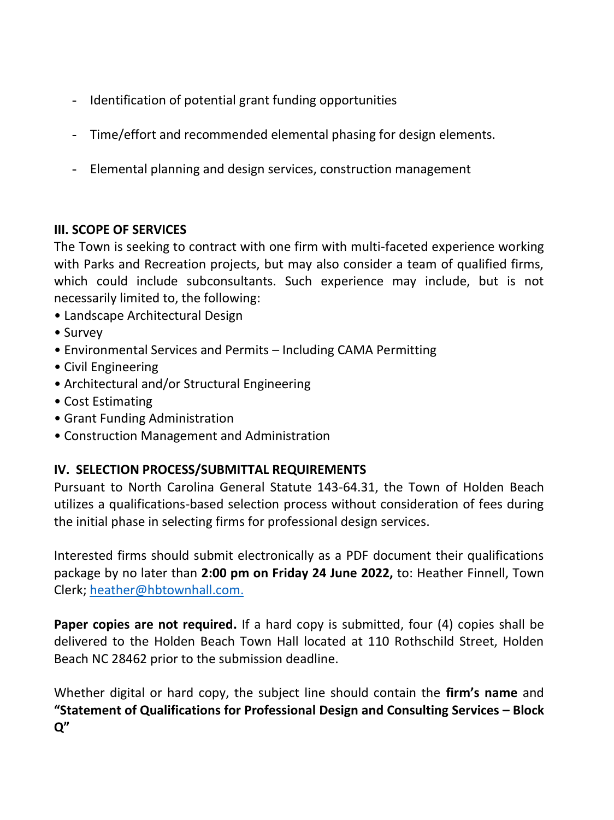- Identification of potential grant funding opportunities
- Time/effort and recommended elemental phasing for design elements.
- Elemental planning and design services, construction management

## **III. SCOPE OF SERVICES**

The Town is seeking to contract with one firm with multi-faceted experience working with Parks and Recreation projects, but may also consider a team of qualified firms, which could include subconsultants. Such experience may include, but is not necessarily limited to, the following:

- Landscape Architectural Design
- Survey
- Environmental Services and Permits Including CAMA Permitting
- Civil Engineering
- Architectural and/or Structural Engineering
- Cost Estimating
- Grant Funding Administration
- Construction Management and Administration

## **IV. SELECTION PROCESS/SUBMITTAL REQUIREMENTS**

Pursuant to North Carolina General Statute 143-64.31, the Town of Holden Beach utilizes a qualifications-based selection process without consideration of fees during the initial phase in selecting firms for professional design services.

Interested firms should submit electronically as a PDF document their qualifications package by no later than **2:00 pm on Friday 24 June 2022,** to: Heather Finnell, Town Clerk; [heather@hbtownhall.com.](mailto:heather@hbtownhall.com)

**Paper copies are not required.** If a hard copy is submitted, four (4) copies shall be delivered to the Holden Beach Town Hall located at 110 Rothschild Street, Holden Beach NC 28462 prior to the submission deadline.

Whether digital or hard copy, the subject line should contain the **firm's name** and **"Statement of Qualifications for Professional Design and Consulting Services – Block Q"**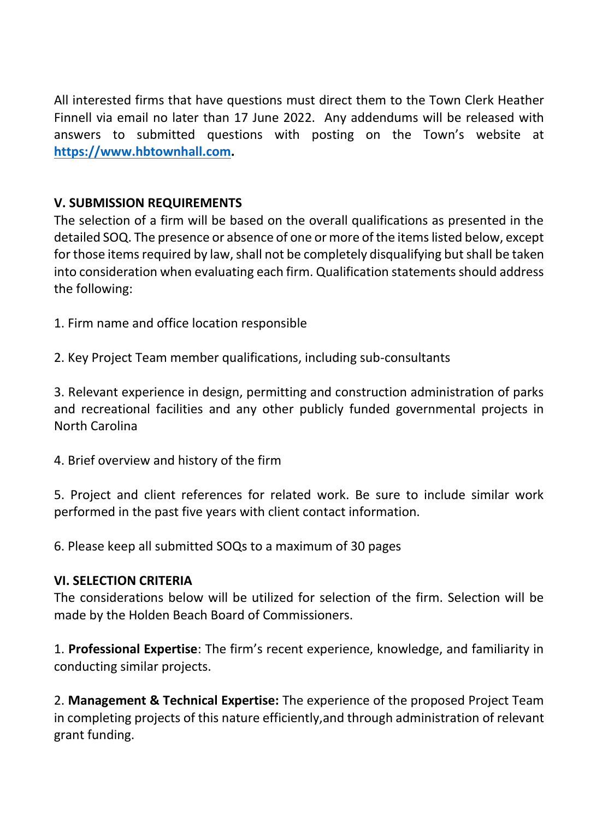All interested firms that have questions must direct them to the Town Clerk Heather Finnell via email no later than 17 June 2022. Any addendums will be released with answers to submitted questions with posting on the Town's website at **[https://www.hbtownhall.com.](https://www.hbtownhall.com/)** 

## **V. SUBMISSION REQUIREMENTS**

The selection of a firm will be based on the overall qualifications as presented in the detailed SOQ. The presence or absence of one or more of the items listed below, except for those items required by law, shall not be completely disqualifying but shall be taken into consideration when evaluating each firm. Qualification statements should address the following:

1. Firm name and office location responsible

2. Key Project Team member qualifications, including sub-consultants

3. Relevant experience in design, permitting and construction administration of parks and recreational facilities and any other publicly funded governmental projects in North Carolina

4. Brief overview and history of the firm

5. Project and client references for related work. Be sure to include similar work performed in the past five years with client contact information.

6. Please keep all submitted SOQs to a maximum of 30 pages

#### **VI. SELECTION CRITERIA**

The considerations below will be utilized for selection of the firm. Selection will be made by the Holden Beach Board of Commissioners.

1. **Professional Expertise**: The firm's recent experience, knowledge, and familiarity in conducting similar projects.

2. **Management & Technical Expertise:** The experience of the proposed Project Team in completing projects of this nature efficiently,and through administration of relevant grant funding.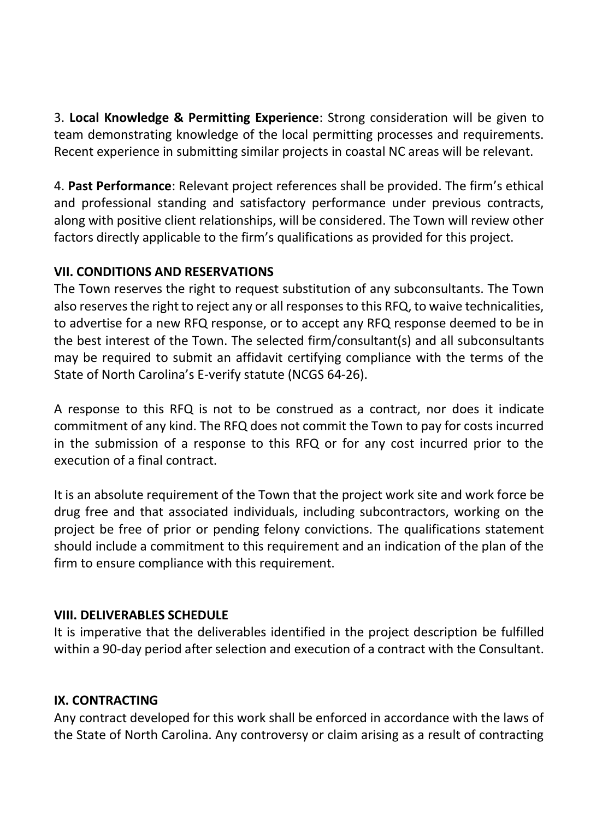3. **Local Knowledge & Permitting Experience**: Strong consideration will be given to team demonstrating knowledge of the local permitting processes and requirements. Recent experience in submitting similar projects in coastal NC areas will be relevant.

4. **Past Performance**: Relevant project references shall be provided. The firm's ethical and professional standing and satisfactory performance under previous contracts, along with positive client relationships, will be considered. The Town will review other factors directly applicable to the firm's qualifications as provided for this project.

## **VII. CONDITIONS AND RESERVATIONS**

The Town reserves the right to request substitution of any subconsultants. The Town also reserves the right to reject any or all responses to this RFQ, to waive technicalities, to advertise for a new RFQ response, or to accept any RFQ response deemed to be in the best interest of the Town. The selected firm/consultant(s) and all subconsultants may be required to submit an affidavit certifying compliance with the terms of the State of North Carolina's E-verify statute (NCGS 64-26).

A response to this RFQ is not to be construed as a contract, nor does it indicate commitment of any kind. The RFQ does not commit the Town to pay for costs incurred in the submission of a response to this RFQ or for any cost incurred prior to the execution of a final contract.

It is an absolute requirement of the Town that the project work site and work force be drug free and that associated individuals, including subcontractors, working on the project be free of prior or pending felony convictions. The qualifications statement should include a commitment to this requirement and an indication of the plan of the firm to ensure compliance with this requirement.

## **VIII. DELIVERABLES SCHEDULE**

It is imperative that the deliverables identified in the project description be fulfilled within a 90-day period after selection and execution of a contract with the Consultant.

## **IX. CONTRACTING**

Any contract developed for this work shall be enforced in accordance with the laws of the State of North Carolina. Any controversy or claim arising as a result of contracting